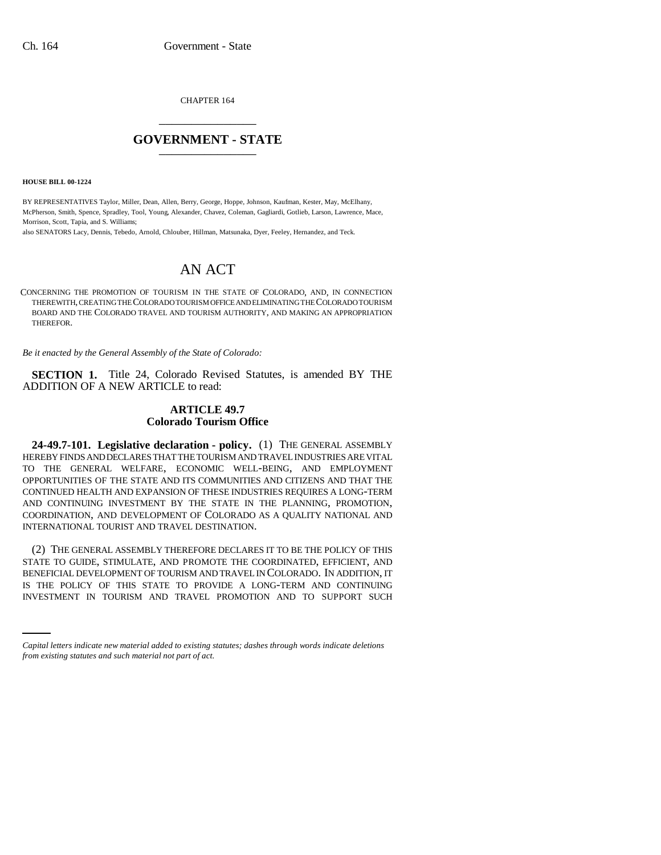CHAPTER 164 \_\_\_\_\_\_\_\_\_\_\_\_\_\_\_

## **GOVERNMENT - STATE** \_\_\_\_\_\_\_\_\_\_\_\_\_\_\_

**HOUSE BILL 00-1224** 

BY REPRESENTATIVES Taylor, Miller, Dean, Allen, Berry, George, Hoppe, Johnson, Kaufman, Kester, May, McElhany, McPherson, Smith, Spence, Spradley, Tool, Young, Alexander, Chavez, Coleman, Gagliardi, Gotlieb, Larson, Lawrence, Mace, Morrison, Scott, Tapia, and S. Williams;

also SENATORS Lacy, Dennis, Tebedo, Arnold, Chlouber, Hillman, Matsunaka, Dyer, Feeley, Hernandez, and Teck.

# AN ACT

CONCERNING THE PROMOTION OF TOURISM IN THE STATE OF COLORADO, AND, IN CONNECTION THEREWITH, CREATING THE COLORADO TOURISM OFFICE AND ELIMINATING THE COLORADO TOURISM BOARD AND THE COLORADO TRAVEL AND TOURISM AUTHORITY, AND MAKING AN APPROPRIATION THEREFOR.

*Be it enacted by the General Assembly of the State of Colorado:*

**SECTION 1.** Title 24, Colorado Revised Statutes, is amended BY THE ADDITION OF A NEW ARTICLE to read:

### **ARTICLE 49.7 Colorado Tourism Office**

**24-49.7-101. Legislative declaration - policy.** (1) THE GENERAL ASSEMBLY HEREBY FINDS AND DECLARES THAT THE TOURISM AND TRAVEL INDUSTRIES ARE VITAL TO THE GENERAL WELFARE, ECONOMIC WELL-BEING, AND EMPLOYMENT OPPORTUNITIES OF THE STATE AND ITS COMMUNITIES AND CITIZENS AND THAT THE CONTINUED HEALTH AND EXPANSION OF THESE INDUSTRIES REQUIRES A LONG-TERM AND CONTINUING INVESTMENT BY THE STATE IN THE PLANNING, PROMOTION, COORDINATION, AND DEVELOPMENT OF COLORADO AS A QUALITY NATIONAL AND INTERNATIONAL TOURIST AND TRAVEL DESTINATION.

BENEFICIAL DEVELOPMENT OF TOURISM AND TRAVEL IN COLORADO. IN ADDITION, IT (2) THE GENERAL ASSEMBLY THEREFORE DECLARES IT TO BE THE POLICY OF THIS STATE TO GUIDE, STIMULATE, AND PROMOTE THE COORDINATED, EFFICIENT, AND IS THE POLICY OF THIS STATE TO PROVIDE A LONG-TERM AND CONTINUING INVESTMENT IN TOURISM AND TRAVEL PROMOTION AND TO SUPPORT SUCH

*Capital letters indicate new material added to existing statutes; dashes through words indicate deletions from existing statutes and such material not part of act.*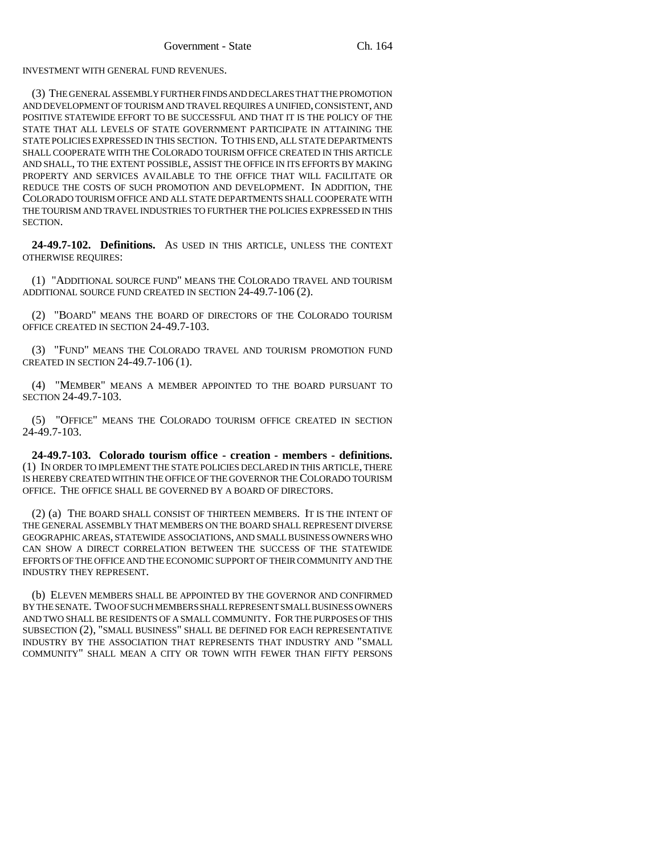INVESTMENT WITH GENERAL FUND REVENUES.

(3) THE GENERAL ASSEMBLY FURTHER FINDS AND DECLARES THAT THE PROMOTION AND DEVELOPMENT OF TOURISM AND TRAVEL REQUIRES A UNIFIED, CONSISTENT, AND POSITIVE STATEWIDE EFFORT TO BE SUCCESSFUL AND THAT IT IS THE POLICY OF THE STATE THAT ALL LEVELS OF STATE GOVERNMENT PARTICIPATE IN ATTAINING THE STATE POLICIES EXPRESSED IN THIS SECTION. TO THIS END, ALL STATE DEPARTMENTS SHALL COOPERATE WITH THE COLORADO TOURISM OFFICE CREATED IN THIS ARTICLE AND SHALL, TO THE EXTENT POSSIBLE, ASSIST THE OFFICE IN ITS EFFORTS BY MAKING PROPERTY AND SERVICES AVAILABLE TO THE OFFICE THAT WILL FACILITATE OR REDUCE THE COSTS OF SUCH PROMOTION AND DEVELOPMENT. IN ADDITION, THE COLORADO TOURISM OFFICE AND ALL STATE DEPARTMENTS SHALL COOPERATE WITH THE TOURISM AND TRAVEL INDUSTRIES TO FURTHER THE POLICIES EXPRESSED IN THIS SECTION.

**24-49.7-102. Definitions.** AS USED IN THIS ARTICLE, UNLESS THE CONTEXT OTHERWISE REQUIRES:

(1) "ADDITIONAL SOURCE FUND" MEANS THE COLORADO TRAVEL AND TOURISM ADDITIONAL SOURCE FUND CREATED IN SECTION 24-49.7-106 (2).

(2) "BOARD" MEANS THE BOARD OF DIRECTORS OF THE COLORADO TOURISM OFFICE CREATED IN SECTION 24-49.7-103.

(3) "FUND" MEANS THE COLORADO TRAVEL AND TOURISM PROMOTION FUND CREATED IN SECTION 24-49.7-106 (1).

(4) "MEMBER" MEANS A MEMBER APPOINTED TO THE BOARD PURSUANT TO SECTION 24-49.7-103.

(5) "OFFICE" MEANS THE COLORADO TOURISM OFFICE CREATED IN SECTION 24-49.7-103.

**24-49.7-103. Colorado tourism office - creation - members - definitions.** (1) IN ORDER TO IMPLEMENT THE STATE POLICIES DECLARED IN THIS ARTICLE, THERE IS HEREBY CREATED WITHIN THE OFFICE OF THE GOVERNOR THE COLORADO TOURISM OFFICE. THE OFFICE SHALL BE GOVERNED BY A BOARD OF DIRECTORS.

(2) (a) THE BOARD SHALL CONSIST OF THIRTEEN MEMBERS. IT IS THE INTENT OF THE GENERAL ASSEMBLY THAT MEMBERS ON THE BOARD SHALL REPRESENT DIVERSE GEOGRAPHIC AREAS, STATEWIDE ASSOCIATIONS, AND SMALL BUSINESS OWNERS WHO CAN SHOW A DIRECT CORRELATION BETWEEN THE SUCCESS OF THE STATEWIDE EFFORTS OF THE OFFICE AND THE ECONOMIC SUPPORT OF THEIR COMMUNITY AND THE INDUSTRY THEY REPRESENT.

(b) ELEVEN MEMBERS SHALL BE APPOINTED BY THE GOVERNOR AND CONFIRMED BY THE SENATE. TWO OF SUCH MEMBERS SHALL REPRESENT SMALL BUSINESS OWNERS AND TWO SHALL BE RESIDENTS OF A SMALL COMMUNITY. FOR THE PURPOSES OF THIS SUBSECTION (2), "SMALL BUSINESS" SHALL BE DEFINED FOR EACH REPRESENTATIVE INDUSTRY BY THE ASSOCIATION THAT REPRESENTS THAT INDUSTRY AND "SMALL COMMUNITY" SHALL MEAN A CITY OR TOWN WITH FEWER THAN FIFTY PERSONS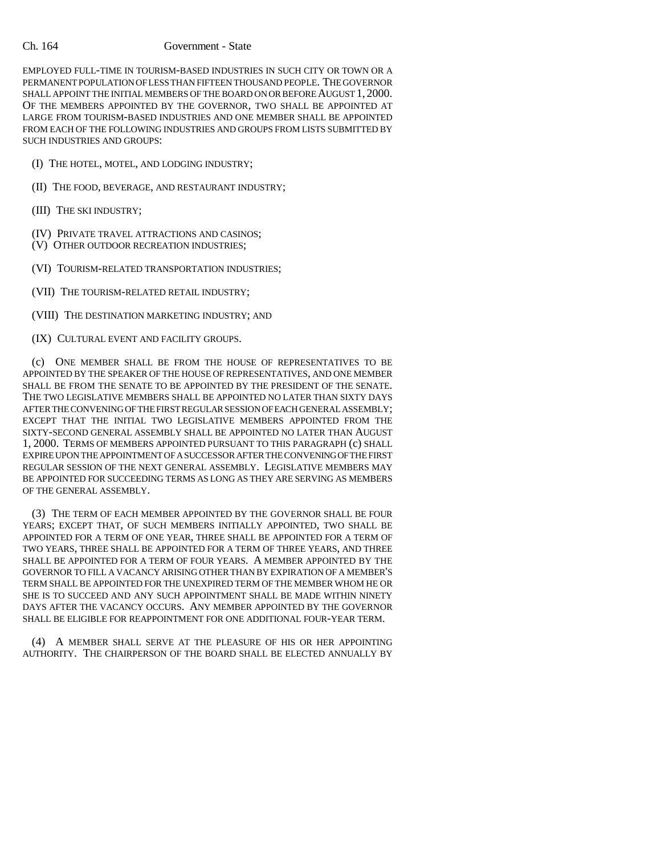### Ch. 164 Government - State

EMPLOYED FULL-TIME IN TOURISM-BASED INDUSTRIES IN SUCH CITY OR TOWN OR A PERMANENT POPULATION OF LESS THAN FIFTEEN THOUSAND PEOPLE. THE GOVERNOR SHALL APPOINT THE INITIAL MEMBERS OF THE BOARD ON OR BEFORE AUGUST 1, 2000. OF THE MEMBERS APPOINTED BY THE GOVERNOR, TWO SHALL BE APPOINTED AT LARGE FROM TOURISM-BASED INDUSTRIES AND ONE MEMBER SHALL BE APPOINTED FROM EACH OF THE FOLLOWING INDUSTRIES AND GROUPS FROM LISTS SUBMITTED BY SUCH INDUSTRIES AND GROUPS:

(I) THE HOTEL, MOTEL, AND LODGING INDUSTRY;

(II) THE FOOD, BEVERAGE, AND RESTAURANT INDUSTRY;

(III) THE SKI INDUSTRY;

(IV) PRIVATE TRAVEL ATTRACTIONS AND CASINOS;

(V) OTHER OUTDOOR RECREATION INDUSTRIES;

(VI) TOURISM-RELATED TRANSPORTATION INDUSTRIES;

(VII) THE TOURISM-RELATED RETAIL INDUSTRY;

(VIII) THE DESTINATION MARKETING INDUSTRY; AND

(IX) CULTURAL EVENT AND FACILITY GROUPS.

(c) ONE MEMBER SHALL BE FROM THE HOUSE OF REPRESENTATIVES TO BE APPOINTED BY THE SPEAKER OF THE HOUSE OF REPRESENTATIVES, AND ONE MEMBER SHALL BE FROM THE SENATE TO BE APPOINTED BY THE PRESIDENT OF THE SENATE. THE TWO LEGISLATIVE MEMBERS SHALL BE APPOINTED NO LATER THAN SIXTY DAYS AFTER THE CONVENING OF THE FIRST REGULAR SESSION OF EACH GENERAL ASSEMBLY; EXCEPT THAT THE INITIAL TWO LEGISLATIVE MEMBERS APPOINTED FROM THE SIXTY-SECOND GENERAL ASSEMBLY SHALL BE APPOINTED NO LATER THAN AUGUST 1, 2000. TERMS OF MEMBERS APPOINTED PURSUANT TO THIS PARAGRAPH (c) SHALL EXPIRE UPON THE APPOINTMENT OF A SUCCESSOR AFTER THE CONVENING OF THE FIRST REGULAR SESSION OF THE NEXT GENERAL ASSEMBLY. LEGISLATIVE MEMBERS MAY BE APPOINTED FOR SUCCEEDING TERMS AS LONG AS THEY ARE SERVING AS MEMBERS OF THE GENERAL ASSEMBLY.

(3) THE TERM OF EACH MEMBER APPOINTED BY THE GOVERNOR SHALL BE FOUR YEARS; EXCEPT THAT, OF SUCH MEMBERS INITIALLY APPOINTED, TWO SHALL BE APPOINTED FOR A TERM OF ONE YEAR, THREE SHALL BE APPOINTED FOR A TERM OF TWO YEARS, THREE SHALL BE APPOINTED FOR A TERM OF THREE YEARS, AND THREE SHALL BE APPOINTED FOR A TERM OF FOUR YEARS. A MEMBER APPOINTED BY THE GOVERNOR TO FILL A VACANCY ARISING OTHER THAN BY EXPIRATION OF A MEMBER'S TERM SHALL BE APPOINTED FOR THE UNEXPIRED TERM OF THE MEMBER WHOM HE OR SHE IS TO SUCCEED AND ANY SUCH APPOINTMENT SHALL BE MADE WITHIN NINETY DAYS AFTER THE VACANCY OCCURS. ANY MEMBER APPOINTED BY THE GOVERNOR SHALL BE ELIGIBLE FOR REAPPOINTMENT FOR ONE ADDITIONAL FOUR-YEAR TERM.

(4) A MEMBER SHALL SERVE AT THE PLEASURE OF HIS OR HER APPOINTING AUTHORITY. THE CHAIRPERSON OF THE BOARD SHALL BE ELECTED ANNUALLY BY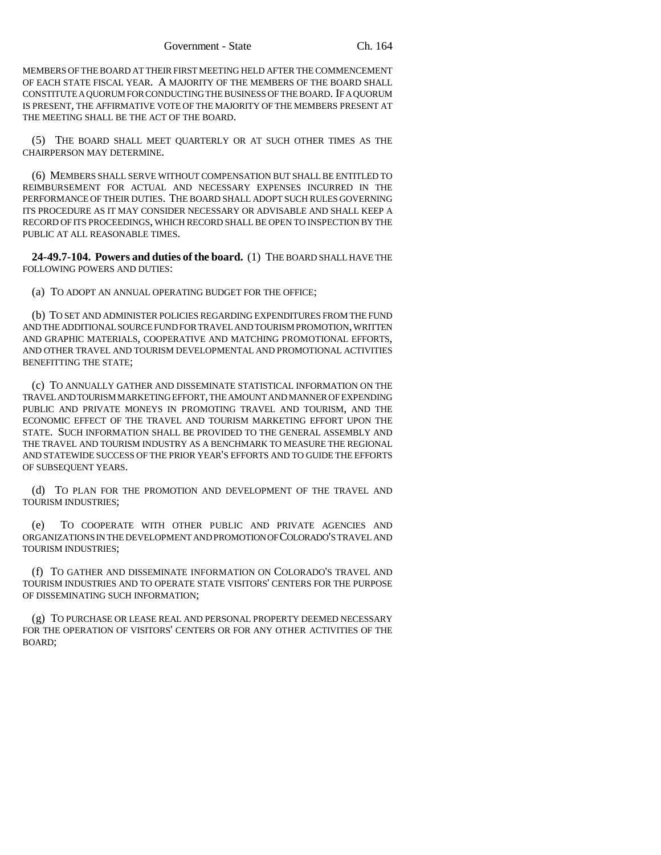MEMBERS OF THE BOARD AT THEIR FIRST MEETING HELD AFTER THE COMMENCEMENT OF EACH STATE FISCAL YEAR. A MAJORITY OF THE MEMBERS OF THE BOARD SHALL CONSTITUTE A QUORUM FOR CONDUCTING THE BUSINESS OF THE BOARD. IF A QUORUM IS PRESENT, THE AFFIRMATIVE VOTE OF THE MAJORITY OF THE MEMBERS PRESENT AT THE MEETING SHALL BE THE ACT OF THE BOARD.

(5) THE BOARD SHALL MEET QUARTERLY OR AT SUCH OTHER TIMES AS THE CHAIRPERSON MAY DETERMINE.

(6) MEMBERS SHALL SERVE WITHOUT COMPENSATION BUT SHALL BE ENTITLED TO REIMBURSEMENT FOR ACTUAL AND NECESSARY EXPENSES INCURRED IN THE PERFORMANCE OF THEIR DUTIES. THE BOARD SHALL ADOPT SUCH RULES GOVERNING ITS PROCEDURE AS IT MAY CONSIDER NECESSARY OR ADVISABLE AND SHALL KEEP A RECORD OF ITS PROCEEDINGS, WHICH RECORD SHALL BE OPEN TO INSPECTION BY THE PUBLIC AT ALL REASONABLE TIMES.

**24-49.7-104. Powers and duties of the board.** (1) THE BOARD SHALL HAVE THE FOLLOWING POWERS AND DUTIES:

(a) TO ADOPT AN ANNUAL OPERATING BUDGET FOR THE OFFICE;

(b) TO SET AND ADMINISTER POLICIES REGARDING EXPENDITURES FROM THE FUND AND THE ADDITIONAL SOURCE FUND FOR TRAVEL AND TOURISM PROMOTION, WRITTEN AND GRAPHIC MATERIALS, COOPERATIVE AND MATCHING PROMOTIONAL EFFORTS, AND OTHER TRAVEL AND TOURISM DEVELOPMENTAL AND PROMOTIONAL ACTIVITIES BENEFITTING THE STATE;

(c) TO ANNUALLY GATHER AND DISSEMINATE STATISTICAL INFORMATION ON THE TRAVEL AND TOURISM MARKETING EFFORT, THE AMOUNT AND MANNER OF EXPENDING PUBLIC AND PRIVATE MONEYS IN PROMOTING TRAVEL AND TOURISM, AND THE ECONOMIC EFFECT OF THE TRAVEL AND TOURISM MARKETING EFFORT UPON THE STATE. SUCH INFORMATION SHALL BE PROVIDED TO THE GENERAL ASSEMBLY AND THE TRAVEL AND TOURISM INDUSTRY AS A BENCHMARK TO MEASURE THE REGIONAL AND STATEWIDE SUCCESS OF THE PRIOR YEAR'S EFFORTS AND TO GUIDE THE EFFORTS OF SUBSEQUENT YEARS.

(d) TO PLAN FOR THE PROMOTION AND DEVELOPMENT OF THE TRAVEL AND TOURISM INDUSTRIES;

(e) TO COOPERATE WITH OTHER PUBLIC AND PRIVATE AGENCIES AND ORGANIZATIONS IN THE DEVELOPMENT AND PROMOTION OF COLORADO'S TRAVEL AND TOURISM INDUSTRIES;

(f) TO GATHER AND DISSEMINATE INFORMATION ON COLORADO'S TRAVEL AND TOURISM INDUSTRIES AND TO OPERATE STATE VISITORS' CENTERS FOR THE PURPOSE OF DISSEMINATING SUCH INFORMATION;

(g) TO PURCHASE OR LEASE REAL AND PERSONAL PROPERTY DEEMED NECESSARY FOR THE OPERATION OF VISITORS' CENTERS OR FOR ANY OTHER ACTIVITIES OF THE BOARD;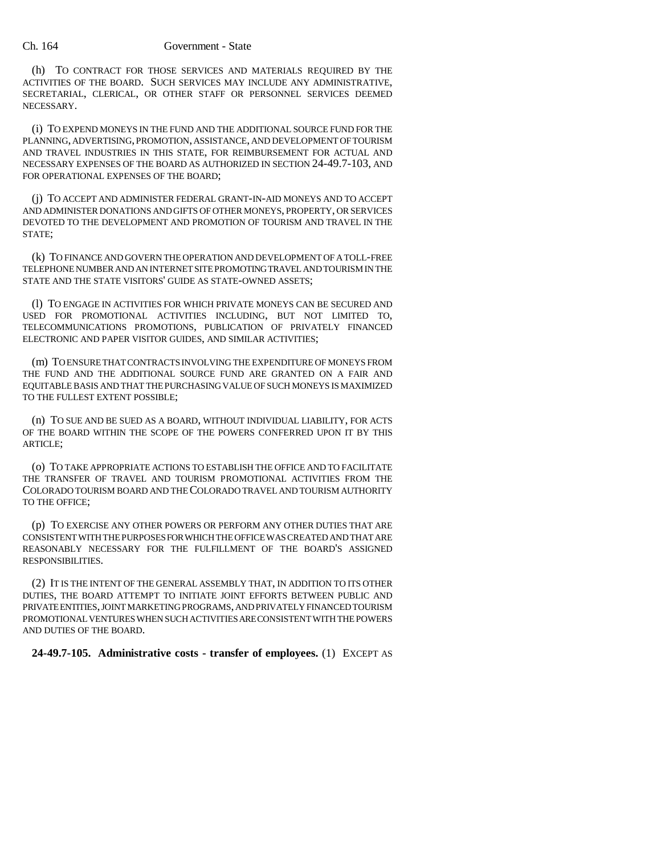(h) TO CONTRACT FOR THOSE SERVICES AND MATERIALS REQUIRED BY THE ACTIVITIES OF THE BOARD. SUCH SERVICES MAY INCLUDE ANY ADMINISTRATIVE, SECRETARIAL, CLERICAL, OR OTHER STAFF OR PERSONNEL SERVICES DEEMED NECESSARY.

(i) TO EXPEND MONEYS IN THE FUND AND THE ADDITIONAL SOURCE FUND FOR THE PLANNING, ADVERTISING, PROMOTION, ASSISTANCE, AND DEVELOPMENT OF TOURISM AND TRAVEL INDUSTRIES IN THIS STATE, FOR REIMBURSEMENT FOR ACTUAL AND NECESSARY EXPENSES OF THE BOARD AS AUTHORIZED IN SECTION 24-49.7-103, AND FOR OPERATIONAL EXPENSES OF THE BOARD;

(j) TO ACCEPT AND ADMINISTER FEDERAL GRANT-IN-AID MONEYS AND TO ACCEPT AND ADMINISTER DONATIONS AND GIFTS OF OTHER MONEYS, PROPERTY, OR SERVICES DEVOTED TO THE DEVELOPMENT AND PROMOTION OF TOURISM AND TRAVEL IN THE STATE;

(k) TO FINANCE AND GOVERN THE OPERATION AND DEVELOPMENT OF A TOLL-FREE TELEPHONE NUMBER AND AN INTERNET SITE PROMOTING TRAVEL AND TOURISM IN THE STATE AND THE STATE VISITORS' GUIDE AS STATE-OWNED ASSETS;

(l) TO ENGAGE IN ACTIVITIES FOR WHICH PRIVATE MONEYS CAN BE SECURED AND USED FOR PROMOTIONAL ACTIVITIES INCLUDING, BUT NOT LIMITED TO, TELECOMMUNICATIONS PROMOTIONS, PUBLICATION OF PRIVATELY FINANCED ELECTRONIC AND PAPER VISITOR GUIDES, AND SIMILAR ACTIVITIES;

(m) TO ENSURE THAT CONTRACTS INVOLVING THE EXPENDITURE OF MONEYS FROM THE FUND AND THE ADDITIONAL SOURCE FUND ARE GRANTED ON A FAIR AND EQUITABLE BASIS AND THAT THE PURCHASING VALUE OF SUCH MONEYS IS MAXIMIZED TO THE FULLEST EXTENT POSSIBLE;

(n) TO SUE AND BE SUED AS A BOARD, WITHOUT INDIVIDUAL LIABILITY, FOR ACTS OF THE BOARD WITHIN THE SCOPE OF THE POWERS CONFERRED UPON IT BY THIS ARTICLE;

(o) TO TAKE APPROPRIATE ACTIONS TO ESTABLISH THE OFFICE AND TO FACILITATE THE TRANSFER OF TRAVEL AND TOURISM PROMOTIONAL ACTIVITIES FROM THE COLORADO TOURISM BOARD AND THE COLORADO TRAVEL AND TOURISM AUTHORITY TO THE OFFICE;

(p) TO EXERCISE ANY OTHER POWERS OR PERFORM ANY OTHER DUTIES THAT ARE CONSISTENT WITH THE PURPOSES FOR WHICH THE OFFICE WAS CREATED AND THAT ARE REASONABLY NECESSARY FOR THE FULFILLMENT OF THE BOARD'S ASSIGNED RESPONSIBILITIES.

(2) IT IS THE INTENT OF THE GENERAL ASSEMBLY THAT, IN ADDITION TO ITS OTHER DUTIES, THE BOARD ATTEMPT TO INITIATE JOINT EFFORTS BETWEEN PUBLIC AND PRIVATE ENTITIES, JOINT MARKETING PROGRAMS, AND PRIVATELY FINANCED TOURISM PROMOTIONAL VENTURES WHEN SUCH ACTIVITIES ARE CONSISTENT WITH THE POWERS AND DUTIES OF THE BOARD.

**24-49.7-105. Administrative costs - transfer of employees.** (1) EXCEPT AS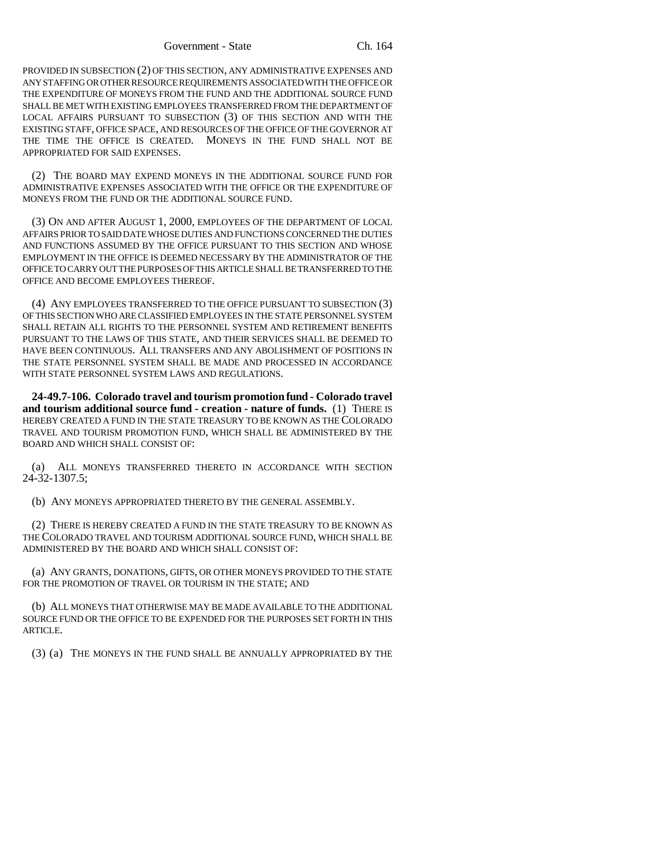PROVIDED IN SUBSECTION (2) OF THIS SECTION, ANY ADMINISTRATIVE EXPENSES AND ANY STAFFING OR OTHER RESOURCE REQUIREMENTS ASSOCIATED WITH THE OFFICE OR THE EXPENDITURE OF MONEYS FROM THE FUND AND THE ADDITIONAL SOURCE FUND SHALL BE MET WITH EXISTING EMPLOYEES TRANSFERRED FROM THE DEPARTMENT OF LOCAL AFFAIRS PURSUANT TO SUBSECTION (3) OF THIS SECTION AND WITH THE EXISTING STAFF, OFFICE SPACE, AND RESOURCES OF THE OFFICE OF THE GOVERNOR AT THE TIME THE OFFICE IS CREATED. MONEYS IN THE FUND SHALL NOT BE APPROPRIATED FOR SAID EXPENSES.

(2) THE BOARD MAY EXPEND MONEYS IN THE ADDITIONAL SOURCE FUND FOR ADMINISTRATIVE EXPENSES ASSOCIATED WITH THE OFFICE OR THE EXPENDITURE OF MONEYS FROM THE FUND OR THE ADDITIONAL SOURCE FUND.

(3) ON AND AFTER AUGUST 1, 2000, EMPLOYEES OF THE DEPARTMENT OF LOCAL AFFAIRS PRIOR TO SAID DATE WHOSE DUTIES AND FUNCTIONS CONCERNED THE DUTIES AND FUNCTIONS ASSUMED BY THE OFFICE PURSUANT TO THIS SECTION AND WHOSE EMPLOYMENT IN THE OFFICE IS DEEMED NECESSARY BY THE ADMINISTRATOR OF THE OFFICE TO CARRY OUT THE PURPOSES OF THIS ARTICLE SHALL BE TRANSFERRED TO THE OFFICE AND BECOME EMPLOYEES THEREOF.

(4) ANY EMPLOYEES TRANSFERRED TO THE OFFICE PURSUANT TO SUBSECTION (3) OF THIS SECTION WHO ARE CLASSIFIED EMPLOYEES IN THE STATE PERSONNEL SYSTEM SHALL RETAIN ALL RIGHTS TO THE PERSONNEL SYSTEM AND RETIREMENT BENEFITS PURSUANT TO THE LAWS OF THIS STATE, AND THEIR SERVICES SHALL BE DEEMED TO HAVE BEEN CONTINUOUS. ALL TRANSFERS AND ANY ABOLISHMENT OF POSITIONS IN THE STATE PERSONNEL SYSTEM SHALL BE MADE AND PROCESSED IN ACCORDANCE WITH STATE PERSONNEL SYSTEM LAWS AND REGULATIONS.

**24-49.7-106. Colorado travel and tourism promotion fund - Colorado travel and tourism additional source fund - creation - nature of funds.** (1) THERE IS HEREBY CREATED A FUND IN THE STATE TREASURY TO BE KNOWN AS THE COLORADO TRAVEL AND TOURISM PROMOTION FUND, WHICH SHALL BE ADMINISTERED BY THE BOARD AND WHICH SHALL CONSIST OF:

(a) ALL MONEYS TRANSFERRED THERETO IN ACCORDANCE WITH SECTION 24-32-1307.5;

(b) ANY MONEYS APPROPRIATED THERETO BY THE GENERAL ASSEMBLY.

(2) THERE IS HEREBY CREATED A FUND IN THE STATE TREASURY TO BE KNOWN AS THE COLORADO TRAVEL AND TOURISM ADDITIONAL SOURCE FUND, WHICH SHALL BE ADMINISTERED BY THE BOARD AND WHICH SHALL CONSIST OF:

(a) ANY GRANTS, DONATIONS, GIFTS, OR OTHER MONEYS PROVIDED TO THE STATE FOR THE PROMOTION OF TRAVEL OR TOURISM IN THE STATE; AND

(b) ALL MONEYS THAT OTHERWISE MAY BE MADE AVAILABLE TO THE ADDITIONAL SOURCE FUND OR THE OFFICE TO BE EXPENDED FOR THE PURPOSES SET FORTH IN THIS ARTICLE.

(3) (a) THE MONEYS IN THE FUND SHALL BE ANNUALLY APPROPRIATED BY THE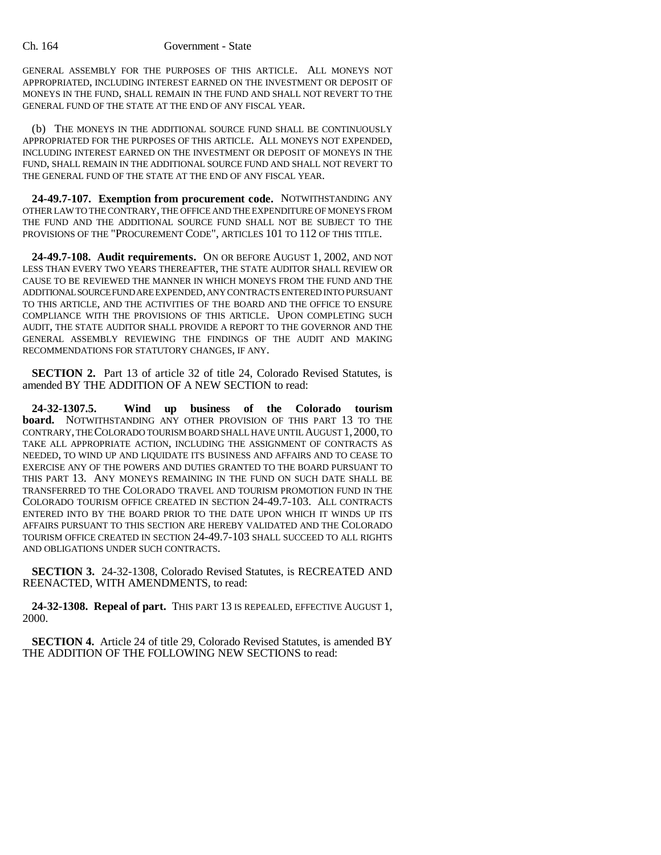GENERAL ASSEMBLY FOR THE PURPOSES OF THIS ARTICLE. ALL MONEYS NOT APPROPRIATED, INCLUDING INTEREST EARNED ON THE INVESTMENT OR DEPOSIT OF MONEYS IN THE FUND, SHALL REMAIN IN THE FUND AND SHALL NOT REVERT TO THE GENERAL FUND OF THE STATE AT THE END OF ANY FISCAL YEAR.

(b) THE MONEYS IN THE ADDITIONAL SOURCE FUND SHALL BE CONTINUOUSLY APPROPRIATED FOR THE PURPOSES OF THIS ARTICLE. ALL MONEYS NOT EXPENDED, INCLUDING INTEREST EARNED ON THE INVESTMENT OR DEPOSIT OF MONEYS IN THE FUND, SHALL REMAIN IN THE ADDITIONAL SOURCE FUND AND SHALL NOT REVERT TO THE GENERAL FUND OF THE STATE AT THE END OF ANY FISCAL YEAR.

**24-49.7-107. Exemption from procurement code.** NOTWITHSTANDING ANY OTHER LAW TO THE CONTRARY, THE OFFICE AND THE EXPENDITURE OF MONEYS FROM THE FUND AND THE ADDITIONAL SOURCE FUND SHALL NOT BE SUBJECT TO THE PROVISIONS OF THE "PROCUREMENT CODE", ARTICLES 101 TO 112 OF THIS TITLE.

**24-49.7-108. Audit requirements.** ON OR BEFORE AUGUST 1, 2002, AND NOT LESS THAN EVERY TWO YEARS THEREAFTER, THE STATE AUDITOR SHALL REVIEW OR CAUSE TO BE REVIEWED THE MANNER IN WHICH MONEYS FROM THE FUND AND THE ADDITIONAL SOURCE FUND ARE EXPENDED, ANY CONTRACTS ENTERED INTO PURSUANT TO THIS ARTICLE, AND THE ACTIVITIES OF THE BOARD AND THE OFFICE TO ENSURE COMPLIANCE WITH THE PROVISIONS OF THIS ARTICLE. UPON COMPLETING SUCH AUDIT, THE STATE AUDITOR SHALL PROVIDE A REPORT TO THE GOVERNOR AND THE GENERAL ASSEMBLY REVIEWING THE FINDINGS OF THE AUDIT AND MAKING RECOMMENDATIONS FOR STATUTORY CHANGES, IF ANY.

**SECTION 2.** Part 13 of article 32 of title 24, Colorado Revised Statutes, is amended BY THE ADDITION OF A NEW SECTION to read:

**24-32-1307.5. Wind up business of the Colorado tourism board.** NOTWITHSTANDING ANY OTHER PROVISION OF THIS PART 13 TO THE CONTRARY, THE COLORADO TOURISM BOARD SHALL HAVE UNTIL AUGUST 1,2000, TO TAKE ALL APPROPRIATE ACTION, INCLUDING THE ASSIGNMENT OF CONTRACTS AS NEEDED, TO WIND UP AND LIQUIDATE ITS BUSINESS AND AFFAIRS AND TO CEASE TO EXERCISE ANY OF THE POWERS AND DUTIES GRANTED TO THE BOARD PURSUANT TO THIS PART 13. ANY MONEYS REMAINING IN THE FUND ON SUCH DATE SHALL BE TRANSFERRED TO THE COLORADO TRAVEL AND TOURISM PROMOTION FUND IN THE COLORADO TOURISM OFFICE CREATED IN SECTION 24-49.7-103. ALL CONTRACTS ENTERED INTO BY THE BOARD PRIOR TO THE DATE UPON WHICH IT WINDS UP ITS AFFAIRS PURSUANT TO THIS SECTION ARE HEREBY VALIDATED AND THE COLORADO TOURISM OFFICE CREATED IN SECTION 24-49.7-103 SHALL SUCCEED TO ALL RIGHTS AND OBLIGATIONS UNDER SUCH CONTRACTS.

**SECTION 3.** 24-32-1308, Colorado Revised Statutes, is RECREATED AND REENACTED, WITH AMENDMENTS, to read:

**24-32-1308. Repeal of part.** THIS PART 13 IS REPEALED, EFFECTIVE AUGUST 1, 2000.

**SECTION 4.** Article 24 of title 29, Colorado Revised Statutes, is amended BY THE ADDITION OF THE FOLLOWING NEW SECTIONS to read: